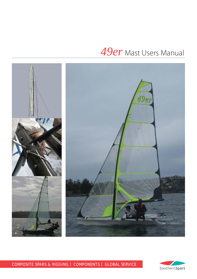# *49er* Mast Users Manual



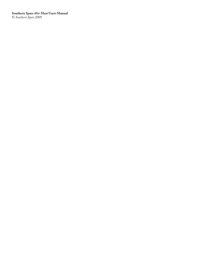**Southern Spars** *49er* **Mast Users Manual** © *Southern Spars* 2009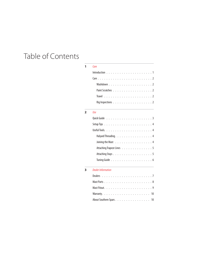# Table of Contents

#### **1** Care

| Paint Scratches 2 |  |
|-------------------|--|
|                   |  |
| Rig Inspections 2 |  |

#### **2** Use

| Halyard Threading. 4      |  |  |  |
|---------------------------|--|--|--|
| Joining the Mast 4        |  |  |  |
| Attaching Trapeze Lines 5 |  |  |  |
|                           |  |  |  |
|                           |  |  |  |

#### **3** Dealer Information

| Mast Parts8             |  |  |  |  |  |  |  |  |  |  |
|-------------------------|--|--|--|--|--|--|--|--|--|--|
|                         |  |  |  |  |  |  |  |  |  |  |
|                         |  |  |  |  |  |  |  |  |  |  |
| About Southern Spars 10 |  |  |  |  |  |  |  |  |  |  |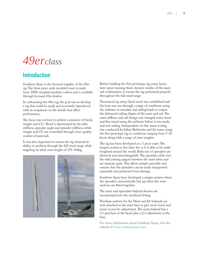# *49erclass*

# **Introduction**

Southern Spars is the licensed supplier of the 49er rig. The three piece male moulded mast is made from 100% standard modulus carbon and is available through licensed 49er dealers.

In carbonising the 49er rig, the goal was to develop a rig that could be easily and accurately reproduced with an empahasis on the details that affect performance.

The focus was on how to achieve cosistency of: bend, weight and CG. 'Bend' is determined by the tube stiffness, spreader angle and spreader stiffness, while weight and CG are controlled through strict quality control of materials.

It was also important to ensure the rig retained its ability to perform through the full wind range while targeting an ideal crew weight of 155-160kg.



Before building the first prototype rig, many hours were spent running finite element studies of the mastsail combination to ensure the rig performed properly throughout the full wind range.

Theoretical rig setup (dock tune) was established and the boat was run through a range of conditions using the software to simulate real sailing loads to output the deformed sailing shapes of the mast and sail. The mast stiffness and sail design was changed many times and fine tuned using the software before it was made and sent sailing. Independent on-the-water testing was conducted by Julian Bethwaite and his team, using the first prototype rig in conditions ranging from 5-30 knots along with a range of crew weights.

The rig has been developed as a 3 piece mast. The longest section is less than 4m so it is able to be easily freighted around the world. Both sets of spreaders are identical and interchangeable. The spreaders slide over the tube joining spigots between the mast tubes and are separate parts. This allows simple assembly and ensures that the spreaders can be easily transported separately and protected from damage.

Southern Spars have developed a unique system where the spreaders automatically line up when the mast sections are fitted together.

The main and spinnaker halyard sheaves are incorporated into the masthead fitting.

Purchase systems for the Main and Jib halyards are now attached to the mast base to give more travel and easier access for adjustment. The main halyard has a 2:1 purchase at the head, plus a 2:1 adjustment at the base.

For more information about Southern Spars, visit the website @ www.southernspars.com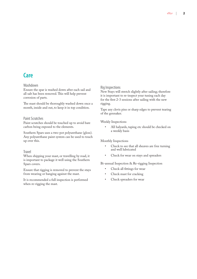# **Care**

#### Washdown

Ensure the spar is washed down after each sail and all salt has been removed. This will help prevent corrosion of parts.

The mast should be thoroughly washed down once a month, inside and out, to keep it in top condition.

#### Paint Scratches

Paint scratches should be touched up to avoid bare carbon being exposed to the elements.

Southern Spars uses a two-pot polyurethane (gloss). Any polyurethane paint system can be used to touch up over this.

#### Travel

When shipping your mast, or travelling by road, it is important to package it well using the Southern Spars covers.

Ensure that rigging is removed to prevent the stays from wearing or banging against the mast.

It is recommended a full inspection is performed when re-rigging the mast.

#### Rig Inspections

New Stays will stretch slightly after sailing; therefore it is important to re-inspect your tuning each day for the first 2-3 sessions after sailing with the new rigging.

Tape any clevis pins or sharp edges to prevent tearing of the gennaker.

Weekly Inspections

All halyards, taping etc should be checked on a weekly basis •

Monthly Inspections

- Check to see that all sheaves are free turning and well lubricated •
- Check for wear on stays and spreaders •

Bi-annual Inspection & Re-rigging Inspection

- Check all fittings for wear •
- Check mast for cracking •
- Check spreaders for wear •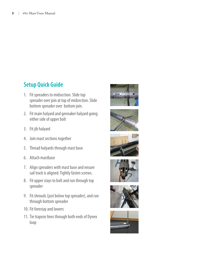# **Setup Quick Guide**

- 1. Fit spreaders to midsection. Slide top spreader over join at top of midsection. Slide bottom spreader over bottom join.
- 2. Fit main halyard and gennaker halyard going either side of upper bolt
- 3. Fit jib halyard
- 4. Join mast sections together
- 5. Thread halyards through mast base
- Attach mastbase 6.
- 7. Align spreaders with mast base and ensure sail track is aligned. Tightly fasten screws.
- 8. Fit upper stays to bolt and run through top spreader
- 9. Fit shrouds (just below top spreader), and run through bottom spreader
- 10. Fit forestay and lowers
- 11. Tie trapeze lines through both ends of Dynex loop











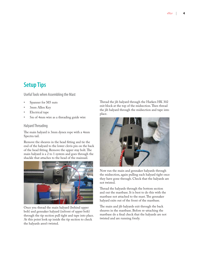# **Setup Tips**

Useful Tools when Assembling the Mast

- Spanner for M5 nuts •
- 3mm Allen Key •
- Electrical tape •
- 5m of 4mm wire as a threading guide wire •

#### Halyard Threading

The main halyard is 3mm dynex rope with a 4mm Spectra tail.

Remove the sheaves in the head fitting and tie the end of the halyard to the lower clevis pin on the back of the head fitting. Remove the upper stay bolt. The main halyard is a 2 to 1 system and goes through the shackle that attaches to the head of the mainsail.



Once you thread the main halyard (behind upper bolt) and gennaker halyard (infront of upper bolt) through the tip section pull tight and tape into place. At this point look up inside the tip section to check the halyards aren't twisted.

Thread the jib halyard through the Harken HK 302 exit block at the top of the midsection. Then thread the jib halyard through the midsection and tape into place.



Now run the main and gennaker halyards through the midsection, again pulling each halyard tight once they have gone through. Check that the halyards are not twisted.

Thread the halyards through the bottom section and out the mastbase. It is best to do this with the mastbase not attached to the mast. The gennaker halyard exits out of the front of the mastbase.

The main and jib halyards exit through the back sheaves in the mastbase. Before re-attaching the mastbase do a final check that the halyards are not twisted and are running freely.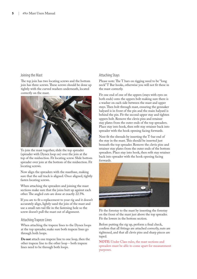#### Joining the Mast

The top join has two locating screws and the bottom join has three screws. These screws should be done up tightly with the curved washers underneath, located correctly on the mast.



To join the mast together, slide the top spreader (spreader with Dynex loop on) over the join at the top of the midsection. Fit locating screw. Slide bottom spreader over join at the bottom of the midsection. Fit locating screws.

Now align the spreaders with the mastbase, making sure that the sail track is aligned. Once aligned, tightly fasten locating screws.

When attaching the spreaders and joining the mast sections make sure that the joins butt up against each other. The angled cuts are done at exactly 22.5%.

If you are to fit a replacement to your rig and it doesn't accurately align, lightly sand the join of the mast and use a small rats tail file in the fastening hole so the screw doesn't pull the mast out of alignment.

#### Attaching Trapeze Lines

When attaching the trapeze lines to the Dynex loops at the top spreader, make sure both trapeze lines go through both loops.

**Do not** attach one trapeze line to one loop, then the other trapeze line to the other loop – both trapeze lines need to be through both loops.

#### Attaching Stays

Please note: The T bars on rigging need to be "long neck" T Bar hooks, otherwise you will not fit these in the mast correctly.

Fit one end of one of the uppers (stays with eyes on both ends) onto the uppers bolt making sure there is a washer on each side between the mast and upper stays. Then bolt through mast, ensuring the gennaker halyard is in front of the pin and the main halyard is behind the pin. Fit the second upper stay and tighten uppers bolt. Remove the clevis pins and retainer stay plates from the outer ends of the top spreaders. Place stay into hook, then refit stay retainer back into spreader with the hook opening facing forwards.

Next fit the shrouds by inserting the T-bar end of the stay in the mast. This should be inserted just beneath the top spreader. Remove the clevis pins and retainer stay plates from the outer ends of the bottom spreaders. Place stay into hook, then refit stay retainer back into spreader with the hook opening facing forwards.



Fit the forestay to the mast by inserting the forestay on the front of the mast just above the top spreader. Fit the lowers in the bottom section.

Before putting the rig up, perform a final check, confirm that all fittings are attached correctly, nuts are tightened, and that all clevis pins and sharp pieces are taped.

**NOTE:** Under Class rules, the mast sections and spreaders must be able to come apart for measurement purposes.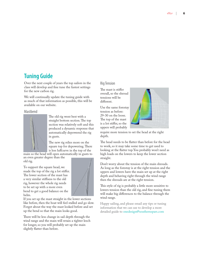## **Tuning Guide**

Over the next couple of years the top sailors in the class will develop and fine tune the fastest settings for the new carbon rig.

We will continually update the tuning guide with as much of that information as possible, this will be available on our website.

Mastbend



The old rig went best with a straight bottom section. The top section was relatively soft and this produced a dynamic response that automatically depowered the rig in gusts.

The new rig relies more on the square top for depowering. There is less luff curve in the top of the

an even greater degree than the old rig. main so the head will open automatically in gusts to

To support the square head, we made the top of the rig a lot stiffer. The lower section of the mast has a very similar stiffness to the old rig, however the whole rig needs to be set up with a more even bend to get a good balance on the helm.



If you set up the mast straight in the lower sections like before, then the boat will feel stalled and go slow. Forget about the way the mast looked before and set up the bend so that the main looks good.

There will be less change in sail depth through the wind range and the main will retain a tighter leech for longer, so you will probably set up the main slightly flatter than before.

#### Rig Tension

The mast is stiffer overall, so the shroud tensions will be different.

Use the same forestay tension as before: 29-30 on the loose. The top of the mast is a lot stiffer, so the uppers will probably



require more tension to set the head at the right depth.

The head needs to be flatter than before for the head to work, so it may take some time to get used to looking at the flatter top. You probably won't need as high loads on the lowers to keep the lower section straight.

Don't worry about the tension of the main shrouds. As long as the forestay is at the right tension and the uppers and lowers have the main set up at the right depth and behaving right through the wind range then the shrouds are at the right tension.

This style of rig is probably a little more sensitive to lowers tension than the old rig, and fine tuning them will make big differences to the balance through the wind range.

Happy sailing, and please email any tips or tuning information that we can use to develop a more detailed guide to onedesign@southernspars.com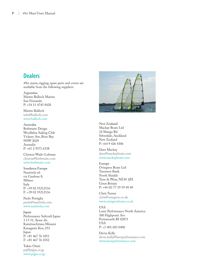## **Dealers**

49er masts, rigging, spare parts and covers are available from the following suppliers:

**Argentina**  Martin Bulloch Marine San Fernando P: +54 11 4745 8428

Martin Bulloch info@bulloch.com www.bulloch.com

**Australia** Bethwaite Design Woollahra Sailing Club Vickery Ave, Rose Bay NSW 2029 Australia P: +61 2 9371 6338

Clynton Wade-Lehman clynton@bethwaite.com www.bethwaite.com

**Southern Europe** Nautivela srl via Gardone 8, Milano Italy P: +39 02 55212116 F: +39 02 55212116

Paolo Portiglia paolo@nautivela.com www.nautivela.com

**Japan** Performance Sailcraft Japan 3 13 31, Ayase shi Kamitsuchitana Minami Kanagawa Ken, 252 Japan P: +81 467 76 1051 F: +81 467 76 1052

Takao Otani psj@psjpn.co.jp www.psjpn.co.jp



**New Zealand** Mackay Boats Ltd 24 Manga Rd Silverdale, Auckland New Zealand P: +64 9 426 4306

Dave Mackay dave@mackayboats.com www.mackayboats.com

**Europe** Ovington Boats Ltd Tannners Bank North Shields Tyne & Wear, NE30 1JH Great Britain P: +44 (0) 77 19 59 49 49

Chris Turner chris@ovington.co.uk www.ovingtonboats.co.uk

**USA** Laser Performance North America 300 Highpoint Ave Portsmouth RI 02871 USA P: +1 401 683 0400

Devin Kelly devin.kelly@laserperformance.com www.laserperformance.com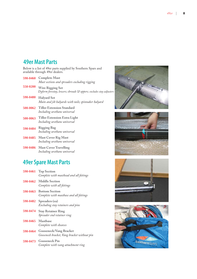# **49er Mast Parts**

Below is a list of 49er parts supplied by Southern Spars and available through 49er dealers.

|          | 590-0460 Complete Mast<br>Mast sections and spreaders excluding rigging                       |
|----------|-----------------------------------------------------------------------------------------------|
| 550-0200 | <b>Wire Rigging Set</b><br>Dyform forestay, lowers; shrouds & uppers; excludes stay adjusters |
| 590-0480 | <b>Halyard Set</b><br>Main and jib halyards with tails; spinnaker halyard                     |
|          | 500-0062 Tiller Extension Standard<br>Including urethane universal                            |

- **Tiller Extension Extra Light 500-0063** *Including urethane universal*
- **Rigging Bag** *Including urethane universal* **590-0484**
- **Mast Cover Rig Mast 590-0485** *Including urethane universal*
- **Mast Cover Travelling 590-0486** *Including urethane universal*

# **49er Spare Mast Parts**

|          | 590-0461 Top Section<br>Complete with masthead and all fittings                |
|----------|--------------------------------------------------------------------------------|
|          | 590-0462 Middle Section<br>Complete with all fittings                          |
|          | 590-0463 Bottom Section<br>Complete with mastbase and all fittings             |
|          | 590-0482 Spreaders (ea)<br>Excluding stay retainers and pins                   |
| 590-0474 | <b>Stay Retainer Ring</b><br>Spreader end retainer ring                        |
|          | 590-0465 Mastbase<br>Complete with sheaves                                     |
|          | 590-0464 Gooseneck/Vang Bracket<br>Gooseneck bracket, Vang bracket without pin |
|          | 590-0473 Gooseneck Pin<br>Complete with vang attachment ring                   |







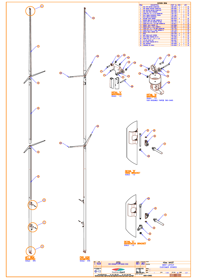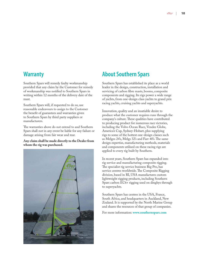### **Warranty**

Southern Spars will remedy faulty workmanship provided that any claim by the Customer for remedy of workmanship was notified to Southern Spars in writing within 12 months of the delivery date of the mast.

Southern Spars will, if requested to do so, use reasonable endeavours to assign to the Customer the benefit of guarantees and warranties given to Southern Spars by third party suppliers or manufacturers.

The warranties above do not extend to and Southern Spars shall not in any event be liable for any failure or damage arising from fair wear and tear.

#### **Any claim shall be made directly to the Dealer from whom the rig was purchased.**



# **About Southern Spars**

Southern Spars has established its place as a world leader in the design, construction, installation and servicing of carbon fibre masts, booms, composite components and rigging. Its rigs power a wide range of yachts, from one-design class yachts to grand prix racing yachts, cruising yachts and superyachts.

Innovation, quality and an insatiable desire to produce what the customer requires runs through the company's culture. These qualities have contributed to producing product for numerous race victories, including the Volvo Ocean Race, Vendee Globe, America's Cup, Sydney-Hobart, plus supplying rigs to some of the hottest one-design classes such as Melges 24's, Melgs 32's and Farr 40's. The same design expertise, manufacturing methods, materials and components utilised on these racing rigs are applied to every rig built by Southern.

In recent years, Southern Spars has expanded into rig service and manufacturing composite rigging. The specialist rig service business Rig Pro, has service centres worldwide. The Composite Rigging division, based in RI, USA manufactures custom lightweight rigging products, including Southern Spars carbon EC6+ rigging used on dinghys through to superyachts.

Southern Spars has centres in the USA, France, South Africa, and headquarters in Auckland, New Zealand. It is supported by the North Marine Group and shares the resources of that group of companies.

For more information: **www.southernspars.com**